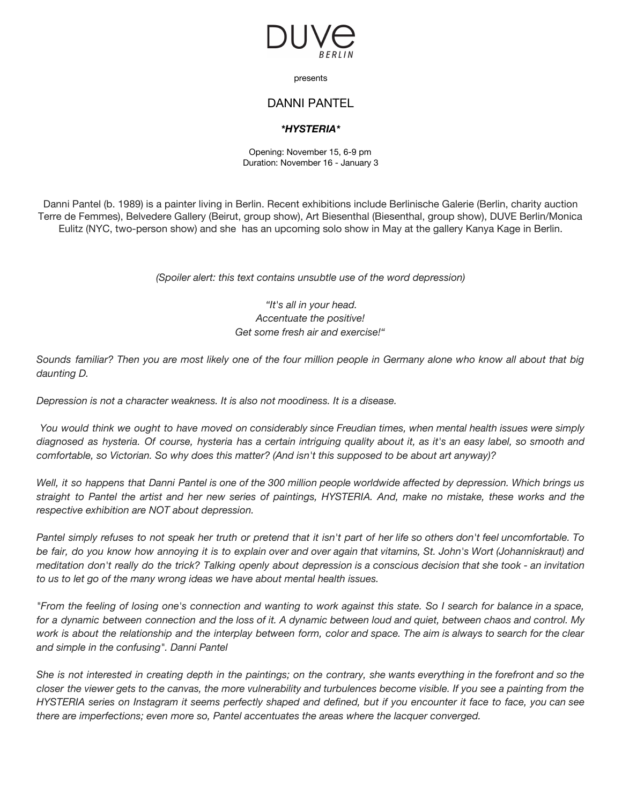

presents

## DANNI PANTEL

## *\*HYSTERIA\**

Opening: November 15, 6-9 pm Duration: November 16 - January 3

Danni Pantel (b. 1989) is a painter living in Berlin. Recent exhibitions include Berlinische Galerie (Berlin, charity auction Terre de Femmes), Belvedere Gallery (Beirut, group show), Art Biesenthal (Biesenthal, group show), DUVE Berlin/Monica Eulitz (NYC, two-person show) and she has an upcoming solo show in May at the gallery Kanya Kage in Berlin.

*(Spoiler alert: this text contains unsubtle use of the word depression)*

## *"It's all in your head. Accentuate the positive! Get some fresh air and exercise!"*

Sounds familiar? Then you are most likely one of the four million people in Germany alone who know all about that big *daunting D.*

*Depression is not a character weakness. It is also not moodiness. It is a disease.*

You would think we ought to have moved on considerably since Freudian times, when mental health issues were simply diagnosed as hysteria. Of course, hysteria has a certain intriguing quality about it, as it's an easy label, so smooth and *comfortable, so Victorian. So why does this matter? (And isn't this supposed to be about art anyway)?*

Well, it so happens that Danni Pantel is one of the 300 million people worldwide affected by depression. Which brings us straight to Pantel the artist and her new series of paintings, HYSTERIA. And, make no mistake, these works and the *respective exhibition are NOT about depression.*

Pantel simply refuses to not speak her truth or pretend that it isn't part of her life so others don't feel uncomfortable. To be fair, do you know how annoying it is to explain over and over again that vitamins, St. John's Wort (Johanniskraut) and meditation don't really do the trick? Talking openly about depression is a conscious decision that she took - an invitation *to us to let go of the many wrong ideas we have about mental health issues.*

"From the feeling of losing one's connection and wanting to work against this state. So I search for balance in a space, for a dynamic between connection and the loss of it. A dynamic between loud and quiet, between chaos and control. My work is about the relationship and the interplay between form, color and space. The aim is always to search for the clear *and simple in the confusing". Danni Pantel*

She is not interested in creating depth in the paintings; on the contrary, she wants everything in the forefront and so the closer the viewer gets to the canvas, the more vulnerability and turbulences become visible. If you see a painting from the HYSTERIA series on Instagram it seems perfectly shaped and defined, but if you encounter it face to face, you can see *there are imperfections; even more so, Pantel accentuates the areas where the lacquer converged.*